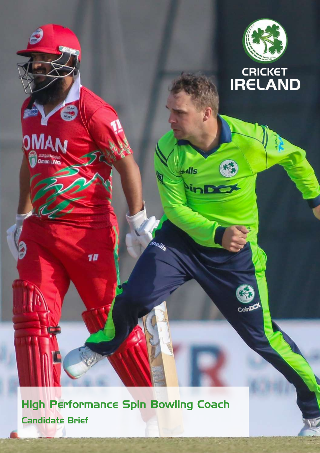



 $CoirD$ 

 $+$ ılls

<sup>N</sup>inD

High Performance Spin Bowling Coach Candidate Brief

00

Oman LNG

10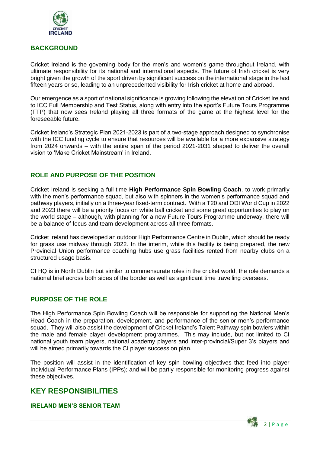

# **BACKGROUND**

Cricket Ireland is the governing body for the men's and women's game throughout Ireland, with ultimate responsibility for its national and international aspects. The future of Irish cricket is very bright given the growth of the sport driven by significant success on the international stage in the last fifteen years or so, leading to an unprecedented visibility for Irish cricket at home and abroad.

Our emergence as a sport of national significance is growing following the elevation of Cricket Ireland to ICC Full Membership and Test Status, along with entry into the sport's Future Tours Programme (FTP) that now sees Ireland playing all three formats of the game at the highest level for the foreseeable future.

Cricket Ireland's Strategic Plan 2021-2023 is part of a two-stage approach designed to synchronise with the ICC funding cycle to ensure that resources will be available for a more expansive strategy from 2024 onwards – with the entire span of the period 2021-2031 shaped to deliver the overall vision to 'Make Cricket Mainstream' in Ireland.

## **ROLE AND PURPOSE OF THE POSITION**

Cricket Ireland is seeking a full-time **High Performance Spin Bowling Coach**, to work primarily with the men's performance squad, but also with spinners in the women's performance squad and pathway players, initially on a three-year fixed-term contract. With a T20 and ODI World Cup in 2022 and 2023 there will be a priority focus on white ball cricket and some great opportunities to play on the world stage – although, with planning for a new Future Tours Programme underway, there will be a balance of focus and team development across all three formats.

Cricket Ireland has developed an outdoor High Performance Centre in Dublin, which should be ready for grass use midway through 2022. In the interim, while this facility is being prepared, the new Provincial Union performance coaching hubs use grass facilities rented from nearby clubs on a structured usage basis.

CI HQ is in North Dublin but similar to commensurate roles in the cricket world, the role demands a national brief across both sides of the border as well as significant time travelling overseas.

### **PURPOSE OF THE ROLE**

The High Performance Spin Bowling Coach will be responsible for supporting the National Men's Head Coach in the preparation, development, and performance of the senior men's performance squad. They will also assist the development of Cricket Ireland's Talent Pathway spin bowlers within the male and female player development programmes. This may include, but not limited to CI national youth team players, national academy players and inter-provincial/Super 3's players and will be aimed primarily towards the CI player succession plan.

The position will assist in the identification of key spin bowling objectives that feed into player Individual Performance Plans (IPPs); and will be partly responsible for monitoring progress against these objectives.

# **KEY RESPONSIBILITIES**

#### **IRELAND MEN'S SENIOR TEAM**

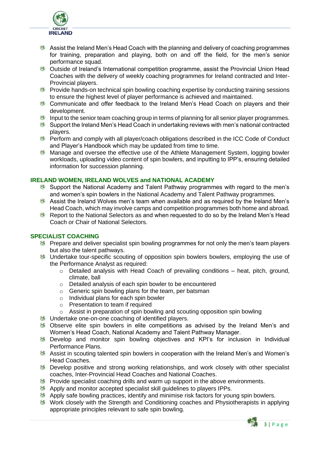

- Assist the Ireland Men's Head Coach with the planning and delivery of coaching programmes for training, preparation and playing, both on and off the field, for the men's senior performance squad.
- Outside of Ireland's International competition programme, assist the Provincial Union Head Coaches with the delivery of weekly coaching programmes for Ireland contracted and Inter-Provincial players.
- **E** Provide hands-on technical spin bowling coaching expertise by conducting training sessions to ensure the highest level of player performance is achieved and maintained.
- Communicate and offer feedback to the Ireland Men's Head Coach on players and their development.
- Input to the senior team coaching group in terms of planning for all senior player programmes.
- Support the Ireland Men's Head Coach in undertaking reviews with men's national contracted players.
- **Perform and comply with all player/coach obligations described in the ICC Code of Conduct** and Player's Handbook which may be updated from time to time.
- $\mathcal{O}(\mathcal{X})$ Manage and oversee the effective use of the Athlete Management System, logging bowler workloads, uploading video content of spin bowlers, and inputting to IPP's, ensuring detailed information for succession planning.

#### **IRELAND WOMEN, IRELAND WOLVES and NATIONAL ACADEMY**

- Support the National Academy and Talent Pathway programmes with regard to the men's and women's spin bowlers in the National Academy and Talent Pathway programmes.
- Assist the Ireland Wolves men's team when available and as required by the Ireland Men's Head Coach, which may involve camps and competition programmes both home and abroad.
- Report to the National Selectors as and when requested to do so by the Ireland Men's Head Coach or Chair of National Selectors.

#### **SPECIALIST COACHING**

- **科 Prepare and deliver specialist spin bowling programmes for not only the men's team players** but also the talent pathways.
- Undertake tour-specific scouting of opposition spin bowlers bowlers, employing the use of the Performance Analyst as required:
	- $\circ$  Detailed analysis with Head Coach of prevailing conditions heat, pitch, ground, climate, ball
	- o Detailed analysis of each spin bowler to be encountered
	- o Generic spin bowling plans for the team, per batsman
	- o Individual plans for each spin bowler
	- o Presentation to team if required
	- $\circ$  Assist in preparation of spin bowling and scouting opposition spin bowling
- **EX** Undertake one-on-one coaching of identified players.
- **8** Observe elite spin bowlers in elite competitions as advised by the Ireland Men's and Women's Head Coach, National Academy and Talent Pathway Manager.
- **8** Develop and monitor spin bowling objectives and KPI's for inclusion in Individual Performance Plans.
- **科 Assist in scouting talented spin bowlers in cooperation with the Ireland Men's and Women's** Head Coaches.
- **B** Develop positive and strong working relationships, and work closely with other specialist coaches, Inter-Provincial Head Coaches and National Coaches.
- **B** Provide specialist coaching drills and warm up support in the above environments.
- **28** Apply and monitor accepted specialist skill guidelines to players IPPs.
- Apply safe bowling practices, identify and minimise risk factors for young spin bowlers.
- **※ Work closely with the Strength and Conditioning coaches and Physiotherapists in applying** appropriate principles relevant to safe spin bowling.

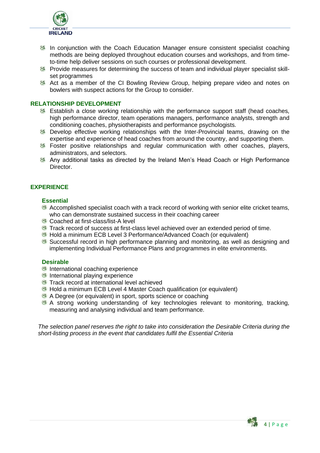

- **25 In conjunction with the Coach Education Manager ensure consistent specialist coaching** methods are being deployed throughout education courses and workshops, and from timeto-time help deliver sessions on such courses or professional development.
- **B** Provide measures for determining the success of team and individual player specialist skillset programmes
- **28** Act as a member of the CI Bowling Review Group, helping prepare video and notes on bowlers with suspect actions for the Group to consider.

#### **RELATIONSHIP DEVELOPMENT**

- **图 Establish a close working relationship with the performance support staff (head coaches,** high performance director, team operations managers, performance analysts, strength and conditioning coaches, physiotherapists and performance psychologists.
- 魏 Develop effective working relationships with the Inter-Provincial teams, drawing on the expertise and experience of head coaches from around the country, and supporting them.
- **图 Foster positive relationships and regular communication with other coaches, players,** administrators, and selectors.
- **科 Any additional tasks as directed by the Ireland Men's Head Coach or High Performance** Director.

#### **EXPERIENCE**

#### **Essential**

- Accomplished specialist coach with a track record of working with senior elite cricket teams, who can demonstrate sustained success in their coaching career
- Coached at first-class/list-A level
- Track record of success at first-class level achieved over an extended period of time.
- Hold a minimum ECB Level 3 Performance/Advanced Coach (or equivalent)
- Successful record in high performance planning and monitoring, as well as designing and implementing Individual Performance Plans and programmes in elite environments.

#### **Desirable**

- International coaching experience
- **International playing experience**
- **Track record at international level achieved**
- Hold a minimum ECB Level 4 Master Coach qualification (or equivalent)
- A Degree (or equivalent) in sport, sports science or coaching
- A strong working understanding of key technologies relevant to monitoring, tracking, measuring and analysing individual and team performance.

*The selection panel reserves the right to take into consideration the Desirable Criteria during the short-listing process in the event that candidates fulfil the Essential Criteria*

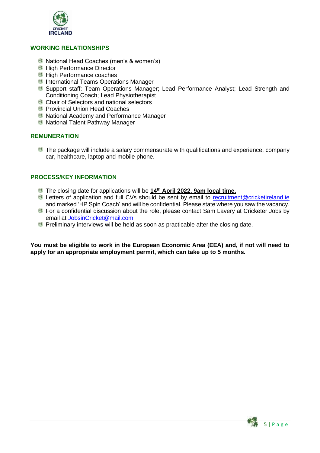

#### **WORKING RELATIONSHIPS**

- National Head Coaches (men's & women's)
- **High Performance Director**
- **High Performance coaches**
- **International Teams Operations Manager**
- Support staff: Team Operations Manager; Lead Performance Analyst; Lead Strength and Conditioning Coach; Lead Physiotherapist
- Chair of Selectors and national selectors
- **Provincial Union Head Coaches**
- National Academy and Performance Manager
- **National Talent Pathway Manager**

#### **REMUNERATION**

**The package will include a salary commensurate with qualifications and experience, company** car, healthcare, laptop and mobile phone.

#### **PROCESS/KEY INFORMATION**

- The closing date for applications will be **14th April 2022, 9am local time.**
- Letters of application and full CVs should be sent by email to [recruitment@cricketireland.ie](mailto:recruitment@cricketireland.ie) and marked 'HP Spin Coach' and will be confidential. Please state where you saw the vacancy.
- **For a confidential discussion about the role, please contact Sam Lavery at Cricketer Jobs by** email at [JobsinCricket@mail.com](mailto:JobsinCricket@mail.com)
- **Preliminary interviews will be held as soon as practicable after the closing date.**

**You must be eligible to work in the European Economic Area (EEA) and, if not will need to apply for an appropriate employment permit, which can take up to 5 months.**